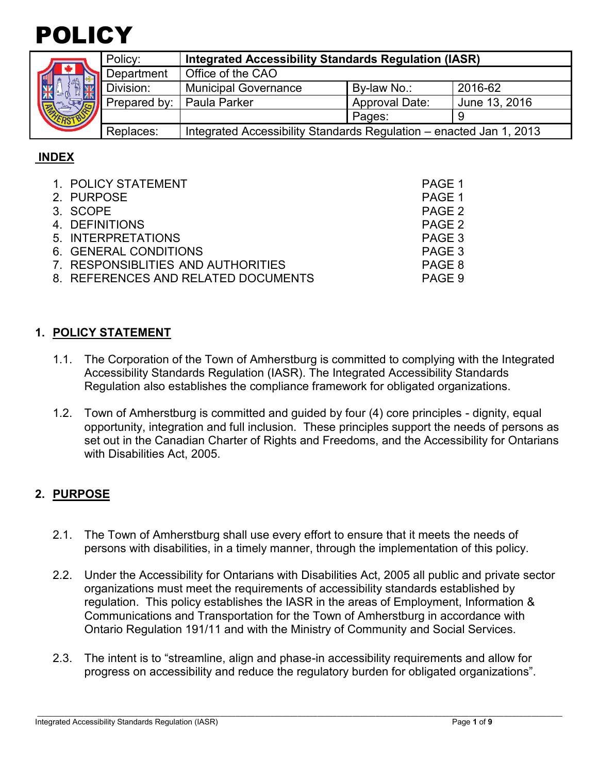

| <b>ALL</b> | Policy:      | <b>Integrated Accessibility Standards Regulation (IASR)</b>         |                       |               |
|------------|--------------|---------------------------------------------------------------------|-----------------------|---------------|
|            | Department   | Office of the CAO                                                   |                       |               |
|            | Division:    | <b>Municipal Governance</b>                                         | By-law No.:           | 2016-62       |
|            | Prepared by: | <b>Paula Parker</b>                                                 | <b>Approval Date:</b> | June 13, 2016 |
|            |              |                                                                     | Pages:                |               |
|            | Replaces:    | Integrated Accessibility Standards Regulation - enacted Jan 1, 2013 |                       |               |

### **INDEX**

| 1. POLICY STATEMENT                 | PAGE 1 |
|-------------------------------------|--------|
| 2. PURPOSE                          | PAGE 1 |
| 3. SCOPE                            | PAGE 2 |
| 4. DEFINITIONS                      | PAGE 2 |
| 5. INTERPRETATIONS                  | PAGE 3 |
| 6. GENERAL CONDITIONS               | PAGE 3 |
| 7. RESPONSIBLITIES AND AUTHORITIES  | PAGE 8 |
| 8. REFERENCES AND RELATED DOCUMENTS | PAGE 9 |

### **1. POLICY STATEMENT**

- 1.1. The Corporation of the Town of Amherstburg is committed to complying with the Integrated Accessibility Standards Regulation (IASR). The Integrated Accessibility Standards Regulation also establishes the compliance framework for obligated organizations.
- 1.2. Town of Amherstburg is committed and guided by four (4) core principles dignity, equal opportunity, integration and full inclusion. These principles support the needs of persons as set out in the Canadian Charter of Rights and Freedoms, and the Accessibility for Ontarians with Disabilities Act, 2005.

### **2. PURPOSE**

- 2.1. The Town of Amherstburg shall use every effort to ensure that it meets the needs of persons with disabilities, in a timely manner, through the implementation of this policy.
- 2.2. Under the Accessibility for Ontarians with Disabilities Act, 2005 all public and private sector organizations must meet the requirements of accessibility standards established by regulation. This policy establishes the IASR in the areas of Employment, Information & Communications and Transportation for the Town of Amherstburg in accordance with Ontario Regulation 191/11 and with the Ministry of Community and Social Services.
- 2.3. The intent is to "streamline, align and phase-in accessibility requirements and allow for progress on accessibility and reduce the regulatory burden for obligated organizations".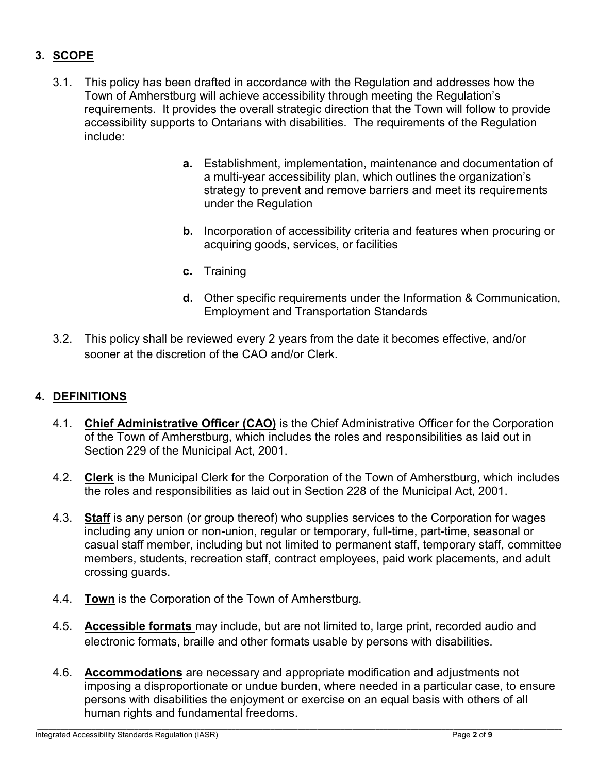# **3. SCOPE**

- 3.1. This policy has been drafted in accordance with the Regulation and addresses how the Town of Amherstburg will achieve accessibility through meeting the Regulation's requirements. It provides the overall strategic direction that the Town will follow to provide accessibility supports to Ontarians with disabilities. The requirements of the Regulation include:
	- **a.** Establishment, implementation, maintenance and documentation of a multi-year accessibility plan, which outlines the organization's strategy to prevent and remove barriers and meet its requirements under the Regulation
	- **b.** Incorporation of accessibility criteria and features when procuring or acquiring goods, services, or facilities
	- **c.** Training
	- **d.** Other specific requirements under the Information & Communication, Employment and Transportation Standards
- 3.2. This policy shall be reviewed every 2 years from the date it becomes effective, and/or sooner at the discretion of the CAO and/or Clerk.

### **4. DEFINITIONS**

- 4.1. **Chief Administrative Officer (CAO)** is the Chief Administrative Officer for the Corporation of the Town of Amherstburg, which includes the roles and responsibilities as laid out in Section 229 of the Municipal Act, 2001.
- 4.2. **Clerk** is the Municipal Clerk for the Corporation of the Town of Amherstburg, which includes the roles and responsibilities as laid out in Section 228 of the Municipal Act, 2001.
- 4.3. **Staff** is any person (or group thereof) who supplies services to the Corporation for wages including any union or non-union, regular or temporary, full-time, part-time, seasonal or casual staff member, including but not limited to permanent staff, temporary staff, committee members, students, recreation staff, contract employees, paid work placements, and adult crossing guards.
- 4.4. **Town** is the Corporation of the Town of Amherstburg.
- 4.5. **Accessible formats** may include, but are not limited to, large print, recorded audio and electronic formats, braille and other formats usable by persons with disabilities.
- 4.6. **Accommodations** are necessary and appropriate modification and adjustments not imposing a disproportionate or undue burden, where needed in a particular case, to ensure persons with disabilities the enjoyment or exercise on an equal basis with others of all human rights and fundamental freedoms.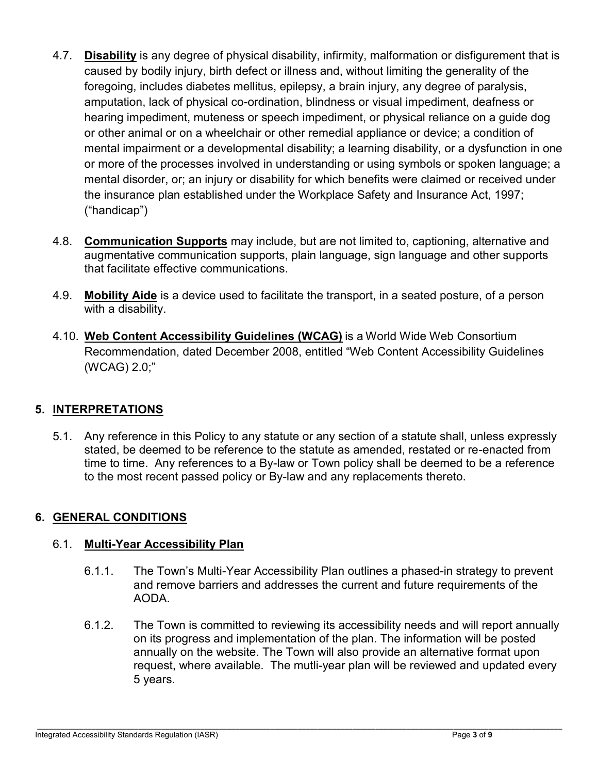- 4.7. **Disability** is any degree of physical disability, infirmity, malformation or disfigurement that is caused by bodily injury, birth defect or illness and, without limiting the generality of the foregoing, includes diabetes mellitus, epilepsy, a brain injury, any degree of paralysis, amputation, lack of physical co-ordination, blindness or visual impediment, deafness or hearing impediment, muteness or speech impediment, or physical reliance on a guide dog or other animal or on a wheelchair or other remedial appliance or device; a condition of mental impairment or a developmental disability; a learning disability, or a dysfunction in one or more of the processes involved in understanding or using symbols or spoken language; a mental disorder, or; an injury or disability for which benefits were claimed or received under the insurance plan established under the Workplace Safety and Insurance Act, 1997; ("handicap")
- 4.8. **Communication Supports** may include, but are not limited to, captioning, alternative and augmentative communication supports, plain language, sign language and other supports that facilitate effective communications.
- 4.9. **Mobility Aide** is a device used to facilitate the transport, in a seated posture, of a person with a disability.
- 4.10. **Web Content Accessibility Guidelines (WCAG)** is a World Wide Web Consortium Recommendation, dated December 2008, entitled "Web Content Accessibility Guidelines (WCAG) 2.0;"

## **5. INTERPRETATIONS**

5.1. Any reference in this Policy to any statute or any section of a statute shall, unless expressly stated, be deemed to be reference to the statute as amended, restated or re-enacted from time to time. Any references to a By-law or Town policy shall be deemed to be a reference to the most recent passed policy or By-law and any replacements thereto.

### **6. GENERAL CONDITIONS**

### 6.1. **Multi-Year Accessibility Plan**

- 6.1.1. The Town's Multi-Year Accessibility Plan outlines a phased-in strategy to prevent and remove barriers and addresses the current and future requirements of the AODA.
- 6.1.2. The Town is committed to reviewing its accessibility needs and will report annually on its progress and implementation of the plan. The information will be posted annually on the website. The Town will also provide an alternative format upon request, where available. The mutli-year plan will be reviewed and updated every 5 years.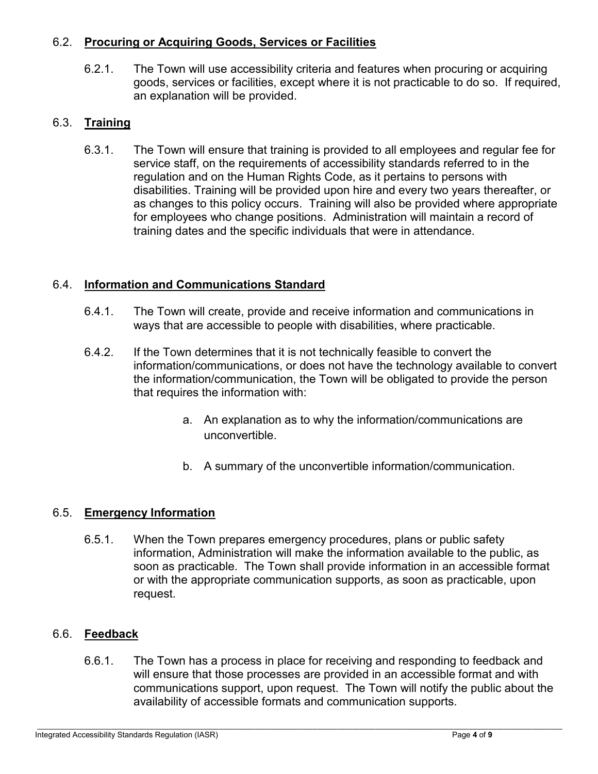### 6.2. **Procuring or Acquiring Goods, Services or Facilities**

6.2.1. The Town will use accessibility criteria and features when procuring or acquiring goods, services or facilities, except where it is not practicable to do so. If required, an explanation will be provided.

### 6.3. **Training**

6.3.1. The Town will ensure that training is provided to all employees and regular fee for service staff, on the requirements of accessibility standards referred to in the regulation and on the Human Rights Code, as it pertains to persons with disabilities. Training will be provided upon hire and every two years thereafter, or as changes to this policy occurs. Training will also be provided where appropriate for employees who change positions. Administration will maintain a record of training dates and the specific individuals that were in attendance.

## 6.4. **Information and Communications Standard**

- 6.4.1. The Town will create, provide and receive information and communications in ways that are accessible to people with disabilities, where practicable.
- 6.4.2. If the Town determines that it is not technically feasible to convert the information/communications, or does not have the technology available to convert the information/communication, the Town will be obligated to provide the person that requires the information with:
	- a. An explanation as to why the information/communications are unconvertible.
	- b. A summary of the unconvertible information/communication.

### 6.5. **Emergency Information**

6.5.1. When the Town prepares emergency procedures, plans or public safety information, Administration will make the information available to the public, as soon as practicable. The Town shall provide information in an accessible format or with the appropriate communication supports, as soon as practicable, upon request.

#### 6.6. **Feedback**

6.6.1. The Town has a process in place for receiving and responding to feedback and will ensure that those processes are provided in an accessible format and with communications support, upon request. The Town will notify the public about the availability of accessible formats and communication supports.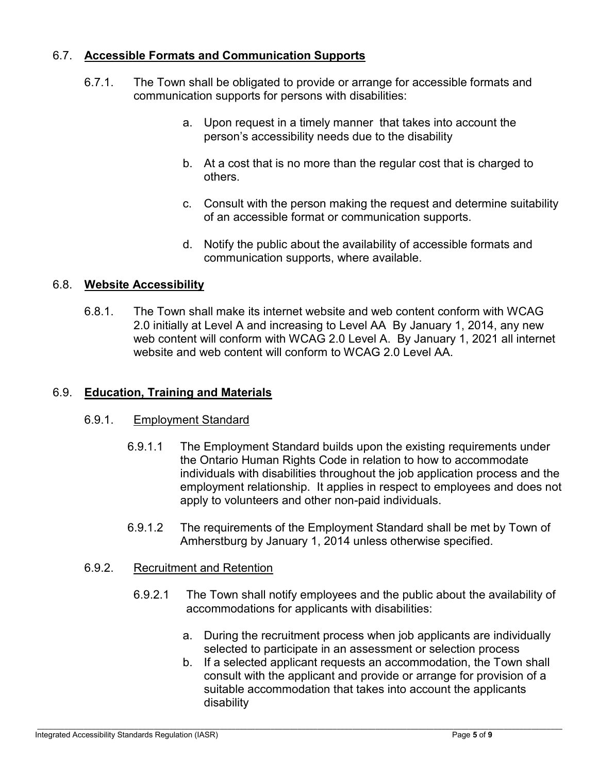### 6.7. **Accessible Formats and Communication Supports**

- 6.7.1. The Town shall be obligated to provide or arrange for accessible formats and communication supports for persons with disabilities:
	- a. Upon request in a timely manner that takes into account the person's accessibility needs due to the disability
	- b. At a cost that is no more than the regular cost that is charged to others.
	- c. Consult with the person making the request and determine suitability of an accessible format or communication supports.
	- d. Notify the public about the availability of accessible formats and communication supports, where available.

### 6.8. **Website Accessibility**

6.8.1. The Town shall make its internet website and web content conform with WCAG 2.0 initially at Level A and increasing to Level AA By January 1, 2014, any new web content will conform with WCAG 2.0 Level A. By January 1, 2021 all internet website and web content will conform to WCAG 2.0 Level AA.

#### 6.9. **Education, Training and Materials**

#### 6.9.1. Employment Standard

- 6.9.1.1 The Employment Standard builds upon the existing requirements under the Ontario Human Rights Code in relation to how to accommodate individuals with disabilities throughout the job application process and the employment relationship. It applies in respect to employees and does not apply to volunteers and other non-paid individuals.
- 6.9.1.2 The requirements of the Employment Standard shall be met by Town of Amherstburg by January 1, 2014 unless otherwise specified.

#### 6.9.2. Recruitment and Retention

- 6.9.2.1 The Town shall notify employees and the public about the availability of accommodations for applicants with disabilities:
	- a. During the recruitment process when job applicants are individually selected to participate in an assessment or selection process
	- b. If a selected applicant requests an accommodation, the Town shall consult with the applicant and provide or arrange for provision of a suitable accommodation that takes into account the applicants disability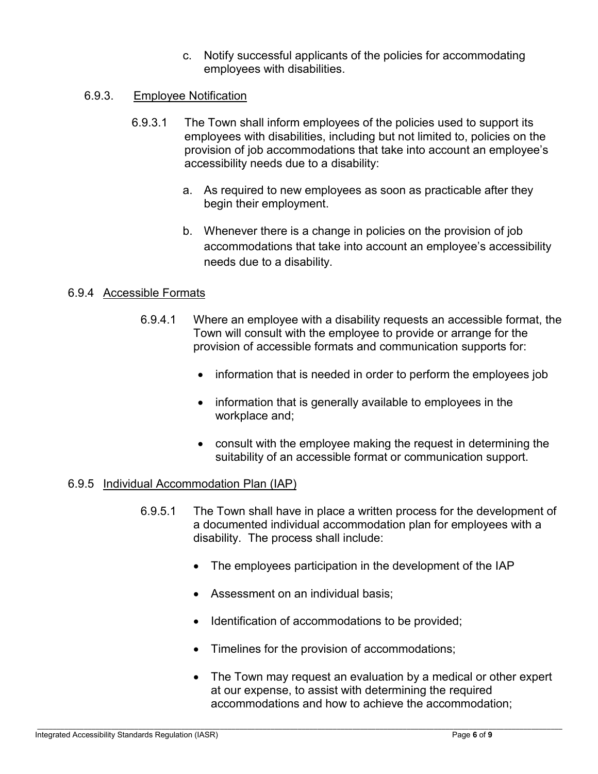c. Notify successful applicants of the policies for accommodating employees with disabilities.

### 6.9.3. Employee Notification

- 6.9.3.1 The Town shall inform employees of the policies used to support its employees with disabilities, including but not limited to, policies on the provision of job accommodations that take into account an employee's accessibility needs due to a disability:
	- a. As required to new employees as soon as practicable after they begin their employment.
	- b. Whenever there is a change in policies on the provision of job accommodations that take into account an employee's accessibility needs due to a disability.

#### 6.9.4 Accessible Formats

- 6.9.4.1 Where an employee with a disability requests an accessible format, the Town will consult with the employee to provide or arrange for the provision of accessible formats and communication supports for:
	- information that is needed in order to perform the employees job
	- information that is generally available to employees in the workplace and;
	- consult with the employee making the request in determining the suitability of an accessible format or communication support.

#### 6.9.5 Individual Accommodation Plan (IAP)

- 6.9.5.1 The Town shall have in place a written process for the development of a documented individual accommodation plan for employees with a disability. The process shall include:
	- The employees participation in the development of the IAP
	- Assessment on an individual basis:
	- Identification of accommodations to be provided;
	- Timelines for the provision of accommodations;
	- The Town may request an evaluation by a medical or other expert at our expense, to assist with determining the required accommodations and how to achieve the accommodation;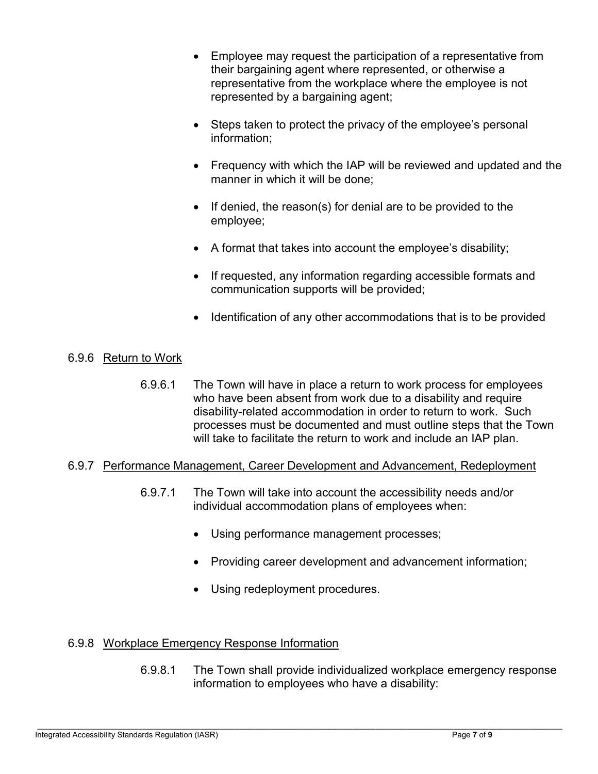- Employee may request the participation of a representative from their bargaining agent where represented, or otherwise a representative from the workplace where the employee is not represented by a bargaining agent;
- Steps taken to protect the privacy of the employee's personal information;
- Frequency with which the IAP will be reviewed and updated and the manner in which it will be done;
- $\bullet$  If denied, the reason(s) for denial are to be provided to the employee;
- A format that takes into account the employee's disability;
- If requested, any information regarding accessible formats and communication supports will be provided;
- Identification of any other accommodations that is to be provided

## 6.9.6 Return to Work

6.9.6.1 The Town will have in place a return to work process for employees who have been absent from work due to a disability and require disability-related accommodation in order to return to work. Such processes must be documented and must outline steps that the Town will take to facilitate the return to work and include an IAP plan.

#### 6.9.7 Performance Management, Career Development and Advancement, Redeployment

- 6.9.7.1 The Town will take into account the accessibility needs and/or individual accommodation plans of employees when:
	- Using performance management processes;
	- Providing career development and advancement information;
	- Using redeployment procedures.

### 6.9.8 Workplace Emergency Response Information

6.9.8.1 The Town shall provide individualized workplace emergency response information to employees who have a disability: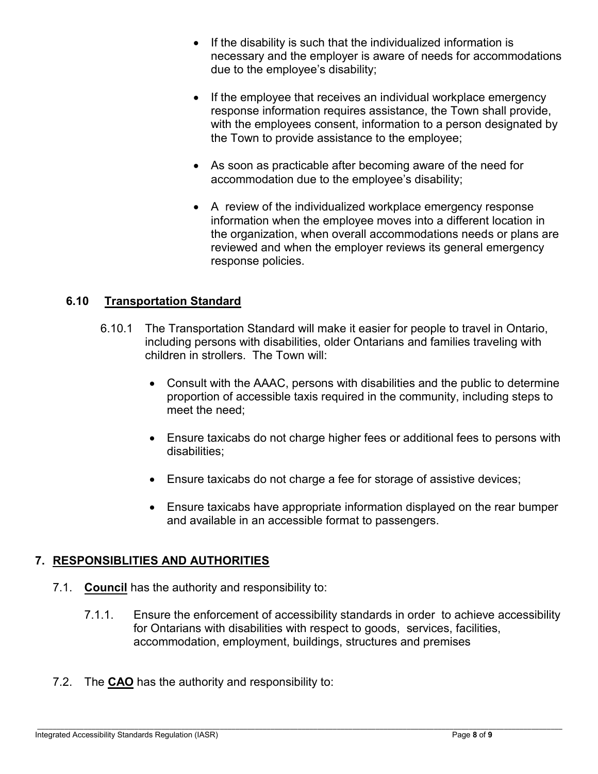- If the disability is such that the individualized information is necessary and the employer is aware of needs for accommodations due to the employee's disability;
- If the employee that receives an individual workplace emergency response information requires assistance, the Town shall provide, with the employees consent, information to a person designated by the Town to provide assistance to the employee;
- As soon as practicable after becoming aware of the need for accommodation due to the employee's disability;
- A review of the individualized workplace emergency response information when the employee moves into a different location in the organization, when overall accommodations needs or plans are reviewed and when the employer reviews its general emergency response policies.

### **6.10 Transportation Standard**

- 6.10.1 The Transportation Standard will make it easier for people to travel in Ontario, including persons with disabilities, older Ontarians and families traveling with children in strollers. The Town will:
	- Consult with the AAAC, persons with disabilities and the public to determine proportion of accessible taxis required in the community, including steps to meet the need;
	- Ensure taxicabs do not charge higher fees or additional fees to persons with disabilities;
	- Ensure taxicabs do not charge a fee for storage of assistive devices;
	- Ensure taxicabs have appropriate information displayed on the rear bumper and available in an accessible format to passengers.

### **7. RESPONSIBLITIES AND AUTHORITIES**

- 7.1. **Council** has the authority and responsibility to:
	- 7.1.1. Ensure the enforcement of accessibility standards in order to achieve accessibility for Ontarians with disabilities with respect to goods, services, facilities, accommodation, employment, buildings, structures and premises
- 7.2. The **CAO** has the authority and responsibility to: